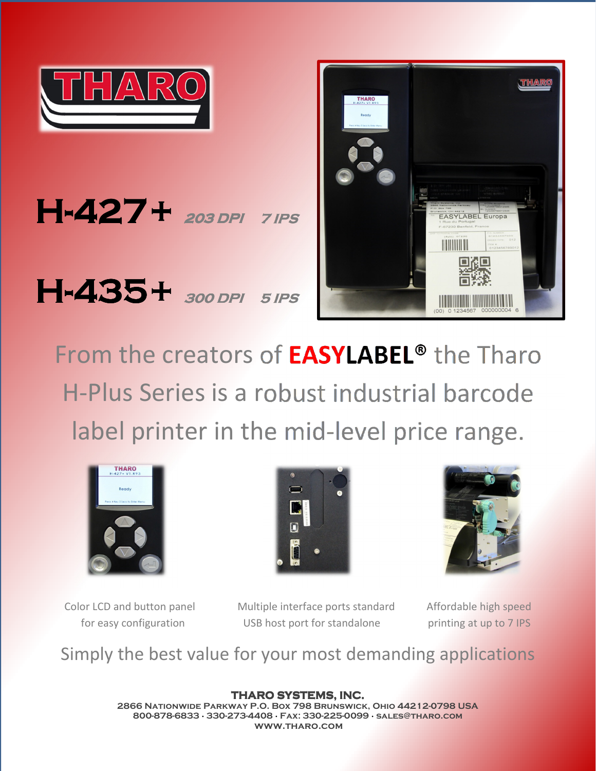

 $H-427+$  203 DPI 7 IPS H-435+ 300 DPI 5 IPS



From the creators of **EASYLABEL®** the Tharo H-Plus Series is a robust industrial barcode label printer in the mid-level price range.







Color LCD and button panel Multiple interface ports standard Affordable high speed for easy configuration USB host port for standalone printing at up to 7 IPS

Simply the best value for your most demanding applications

THARO SYSTEMS, INC. 2866 Nationwide Parkway P.O. Box 798 Brunswick, Ohio 44212-0798 USA 800-878-6833 · 330-273-4408 · Fax: 330-225-0099 · sales@tharo.com www.tharo.com